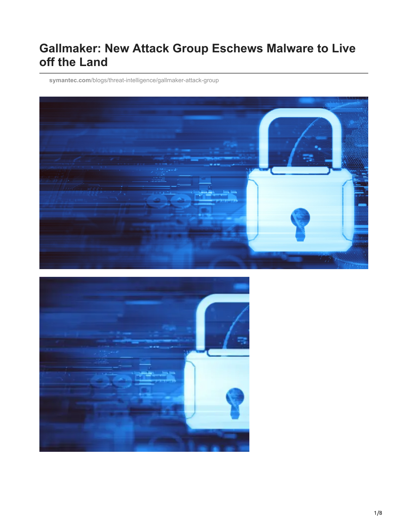# **Gallmaker: New Attack Group Eschews Malware to Live off the Land**

**symantec.com**[/blogs/threat-intelligence/gallmaker-attack-group](https://www.symantec.com/blogs/threat-intelligence/gallmaker-attack-group)



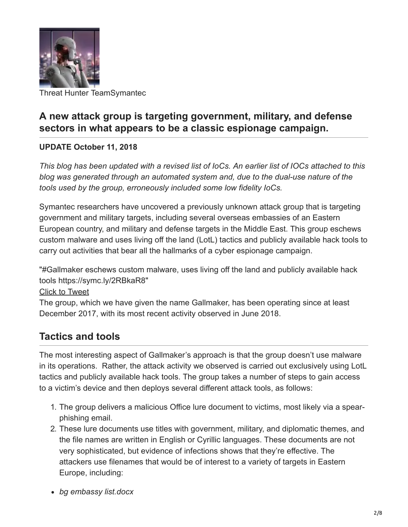

Threat Hunter TeamSymantec

### **A new attack group is targeting government, military, and defense sectors in what appears to be a classic espionage campaign.**

#### **UPDATE October 11, 2018**

*This blog has been updated with a revised list of IoCs. An earlier list of IOCs attached to this blog was generated through an automated system and, due to the dual-use nature of the tools used by the group, erroneously included some low fidelity IoCs.*

Symantec researchers have uncovered a previously unknown attack group that is targeting government and military targets, including several overseas embassies of an Eastern European country, and military and defense targets in the Middle East. This group eschews custom malware and uses living off the land (LotL) tactics and publicly available hack tools to carry out activities that bear all the hallmarks of a cyber espionage campaign.

"#Gallmaker eschews custom malware, uses living off the land and publicly available hack tools https://symc.ly/2RBkaR8"

#### [Click to Tweet](https://twitter.com/intent/tweet?text=%23Gallmaker%20eschews%20custom%20malware,%20uses%20living%20off%20the%20land%20and%20publicly%20available%20hack%20tools%20https://symc.ly/2RBkaR8&via=threatintel&hashtags=undefined)

The group, which we have given the name Gallmaker, has been operating since at least December 2017, with its most recent activity observed in June 2018.

#### **Tactics and tools**

The most interesting aspect of Gallmaker's approach is that the group doesn't use malware in its operations. Rather, the attack activity we observed is carried out exclusively using LotL tactics and publicly available hack tools. The group takes a number of steps to gain access to a victim's device and then deploys several different attack tools, as follows:

- 1. The group delivers a malicious Office lure document to victims, most likely via a spearphishing email.
- 2. These lure documents use titles with government, military, and diplomatic themes, and the file names are written in English or Cyrillic languages. These documents are not very sophisticated, but evidence of infections shows that they're effective. The attackers use filenames that would be of interest to a variety of targets in Eastern Europe, including:
- *bg embassy list.docx*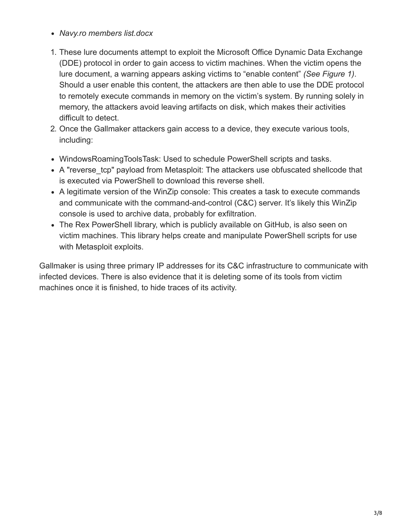- *Navy.ro members list.docx*
- 1. These lure documents attempt to exploit the Microsoft Office Dynamic Data Exchange (DDE) protocol in order to gain access to victim machines. When the victim opens the lure document, a warning appears asking victims to "enable content" *(See Figure 1)*. Should a user enable this content, the attackers are then able to use the DDE protocol to remotely execute commands in memory on the victim's system. By running solely in memory, the attackers avoid leaving artifacts on disk, which makes their activities difficult to detect.
- 2. Once the Gallmaker attackers gain access to a device, they execute various tools, including:
- WindowsRoamingToolsTask: Used to schedule PowerShell scripts and tasks.
- A "reverse tcp" payload from Metasploit: The attackers use obfuscated shellcode that is executed via PowerShell to download this reverse shell.
- A legitimate version of the WinZip console: This creates a task to execute commands and communicate with the command-and-control (C&C) server. It's likely this WinZip console is used to archive data, probably for exfiltration.
- The Rex PowerShell library, which is publicly available on GitHub, is also seen on victim machines. This library helps create and manipulate PowerShell scripts for use with Metasploit exploits.

Gallmaker is using three primary IP addresses for its C&C infrastructure to communicate with infected devices. There is also evidence that it is deleting some of its tools from victim machines once it is finished, to hide traces of its activity.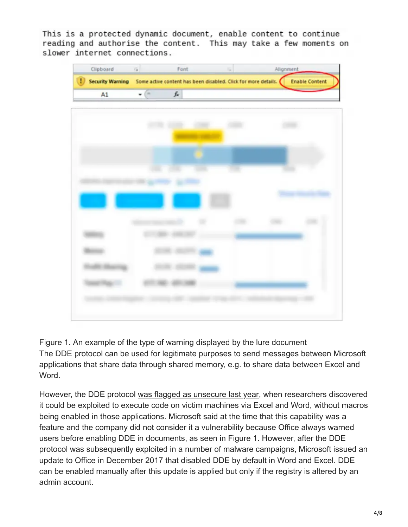This is a protected dynamic document, enable content to continue reading and authorise the content. This may take a few moments on slower internet connections.



Figure 1. An example of the type of warning displayed by the lure document The DDE protocol can be used for legitimate purposes to send messages between Microsoft applications that share data through shared memory, e.g. to share data between Excel and Word.

However, the DDE protocol [was flagged as unsecure last year](https://www.cyberscoop.com/dde-microsoft-word-vulnerability-feature/), when researchers discovered it could be exploited to execute code on victim machines via Excel and Word, without macros being enabled in those applications. Microsoft said at the time that this capability was a [feature and the company did not consider it a vulnerability because Office always warne](http://www.eweek.com/security/attacks-exploit-microsoft-dynamic-data-exchange-protocol)d users before enabling DDE in documents, as seen in Figure 1. However, after the DDE protocol was subsequently exploited in a number of malware campaigns, Microsoft issued an update to Office in December 2017 [that disabled DDE by default in Word and Excel.](https://portal.msrc.microsoft.com/en-US/security-guidance/advisory/ADV170021) DDE can be enabled manually after this update is applied but only if the registry is altered by an admin account.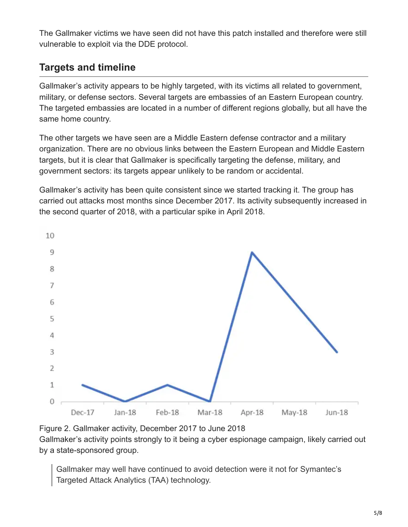The Gallmaker victims we have seen did not have this patch installed and therefore were still vulnerable to exploit via the DDE protocol.

## **Targets and timeline**

Gallmaker's activity appears to be highly targeted, with its victims all related to government, military, or defense sectors. Several targets are embassies of an Eastern European country. The targeted embassies are located in a number of different regions globally, but all have the same home country.

The other targets we have seen are a Middle Eastern defense contractor and a military organization. There are no obvious links between the Eastern European and Middle Eastern targets, but it is clear that Gallmaker is specifically targeting the defense, military, and government sectors: its targets appear unlikely to be random or accidental.

Gallmaker's activity has been quite consistent since we started tracking it. The group has carried out attacks most months since December 2017. Its activity subsequently increased in the second quarter of 2018, with a particular spike in April 2018.



Figure 2. Gallmaker activity, December 2017 to June 2018

Gallmaker's activity points strongly to it being a cyber espionage campaign, likely carried out by a state-sponsored group.

Gallmaker may well have continued to avoid detection were it not for Symantec's Targeted Attack Analytics (TAA) technology.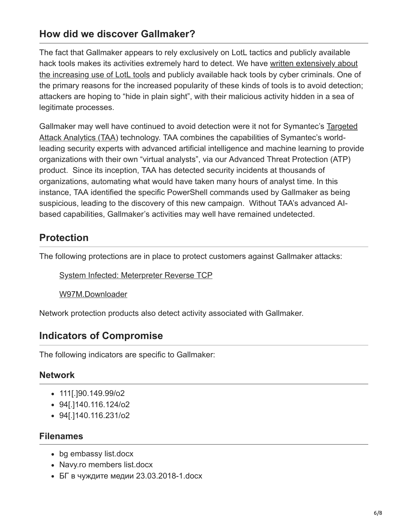#### **How did we discover Gallmaker?**

The fact that Gallmaker appears to rely exclusively on LotL tactics and publicly available hack tools makes its activities extremely hard to detect. We have written extensively about [the increasing use of LotL tools and publicly available hack tools by cyber criminals. One o](https://www.symantec.com/connect/blogs/attackers-are-increasingly-living-land)f the primary reasons for the increased popularity of these kinds of tools is to avoid detection; attackers are hoping to "hide in plain sight", with their malicious activity hidden in a sea of legitimate processes.

[Gallmaker may well have continued to avoid detection were it not for Symantec's Targeted](https://resource.elq.symantec.com/LP=5847?cid=70138000001MFtXAAW) Attack Analytics (TAA) technology. TAA combines the capabilities of Symantec's worldleading security experts with advanced artificial intelligence and machine learning to provide organizations with their own "virtual analysts", via our Advanced Threat Protection (ATP) product. Since its inception, TAA has detected security incidents at thousands of organizations, automating what would have taken many hours of analyst time. In this instance, TAA identified the specific PowerShell commands used by Gallmaker as being suspicious, leading to the discovery of this new campaign. Without TAA's advanced AIbased capabilities, Gallmaker's activities may well have remained undetected.

### **Protection**

The following protections are in place to protect customers against Gallmaker attacks:

[System Infected: Meterpreter Reverse TCP](https://www.symantec.com/security_response/attacksignatures/detail.jsp?asid=25678)

[W97M.Downloader](https://www.symantec.com/security-center/writeup/2014-110100-2117-99)

Network protection products also detect activity associated with Gallmaker.

### **Indicators of Compromise**

The following indicators are specific to Gallmaker:

#### **Network**

- 111[.]90.149.99/o2
- 94[.]140.116.124/o2
- 94[.]140.116.231/o2

#### **Filenames**

- bg embassy list.docx
- Navy.ro members list.docx
- БГ в чуждите медии 23.03.2018-1.docx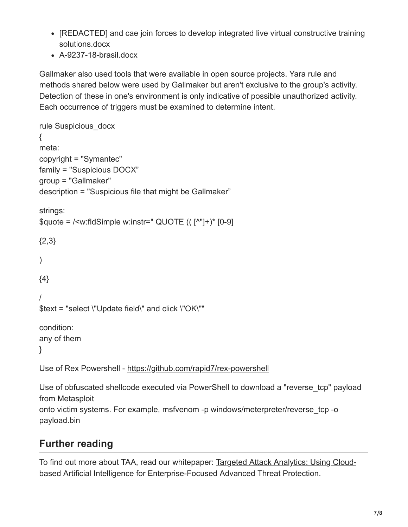- [REDACTED] and cae join forces to develop integrated live virtual constructive training solutions.docx
- А-9237-18-brasil.docx

Gallmaker also used tools that were available in open source projects. Yara rule and methods shared below were used by Gallmaker but aren't exclusive to the group's activity. Detection of these in one's environment is only indicative of possible unauthorized activity. Each occurrence of triggers must be examined to determine intent.

```
rule Suspicious_docx
{
meta:
copyright = "Symantec"
family = "Suspicious DOCX"
group = "Gallmaker"
description = "Suspicious file that might be Gallmaker"
strings:
\text{Gauge} = \text{/cm}: fidSimple w:instr=" QUOTE ((\lceil \binom{n}{1} + \binom{5}{9} - \frac{9}{1} \rceil{2,3}
)
{4}
/
$text = "select \"Update field\" and click \"OK\""
condition:
any of them
}
Use of Rex Powershell - https://github.com/rapid7/rex-powershell
```
Use of obfuscated shellcode executed via PowerShell to download a "reverse\_tcp" payload from Metasploit onto victim systems. For example, msfvenom -p windows/meterpreter/reverse\_tcp -o payload.bin

# **Further reading**

[To find out more about TAA, read our whitepaper: Targeted Attack Analytics: Using Cloud](https://resource.elq.symantec.com/LP=5847?cid=70138000001MFtXAAW)based Artificial Intelligence for Enterprise-Focused Advanced Threat Protection.